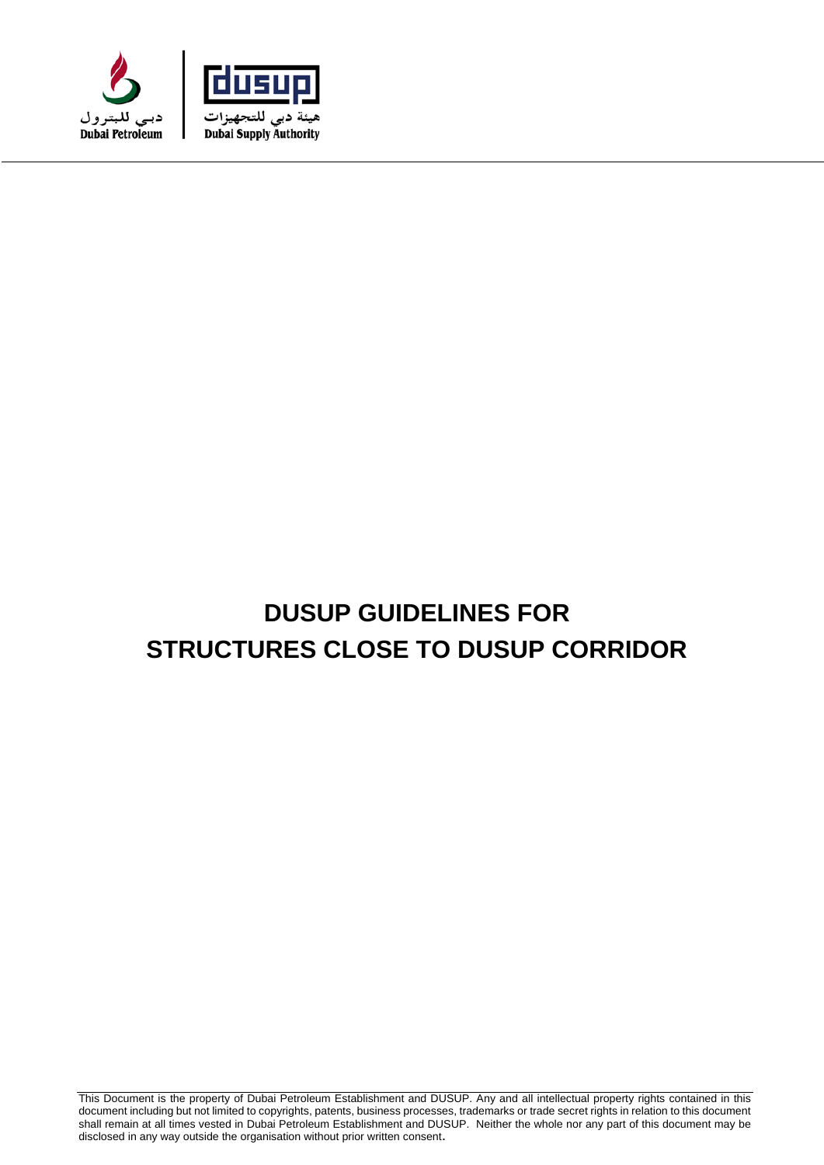



# **DUSUP GUIDELINES FOR STRUCTURES CLOSE TO DUSUP CORRIDOR**

This Document is the property of Dubai Petroleum Establishment and DUSUP. Any and all intellectual property rights contained in this document including but not limited to copyrights, patents, business processes, trademarks or trade secret rights in relation to this document shall remain at all times vested in Dubai Petroleum Establishment and DUSUP. Neither the whole nor any part of this document may be disclosed in any way outside the organisation without prior written consent.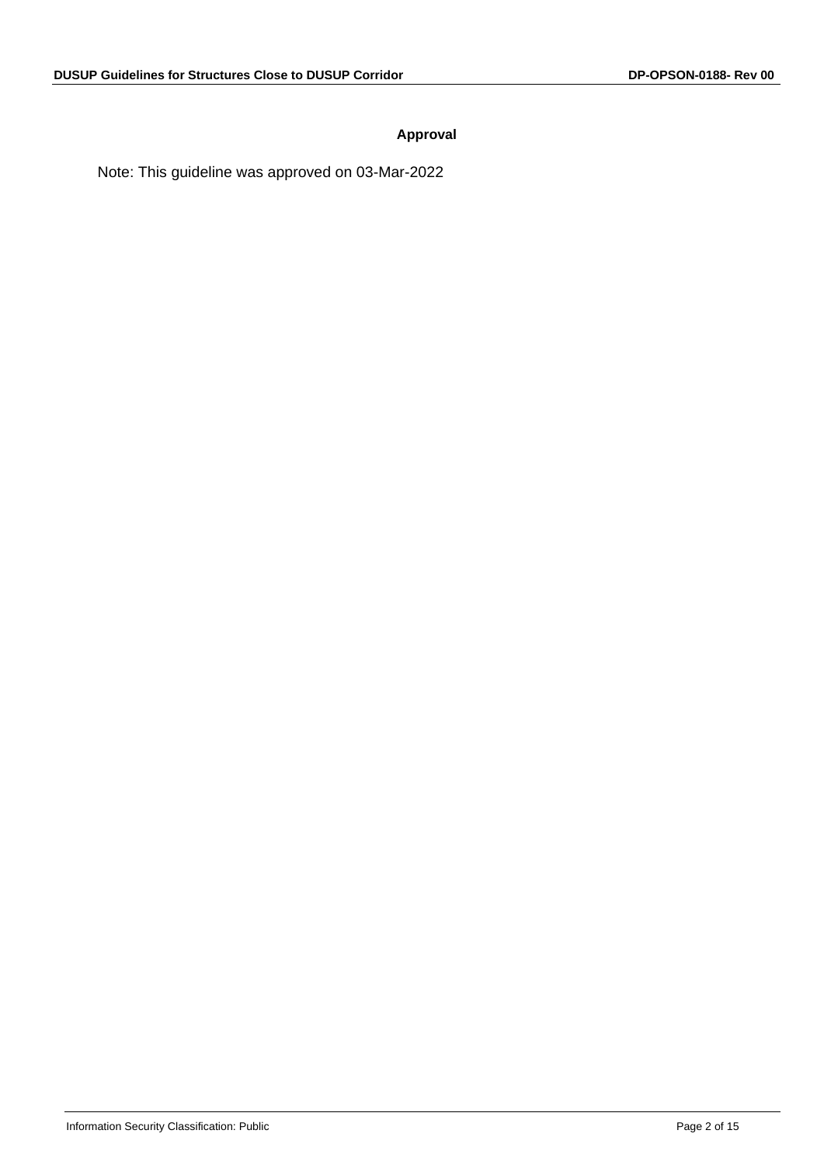#### **Approval**

Note: This guideline was approved on 03-Mar-2022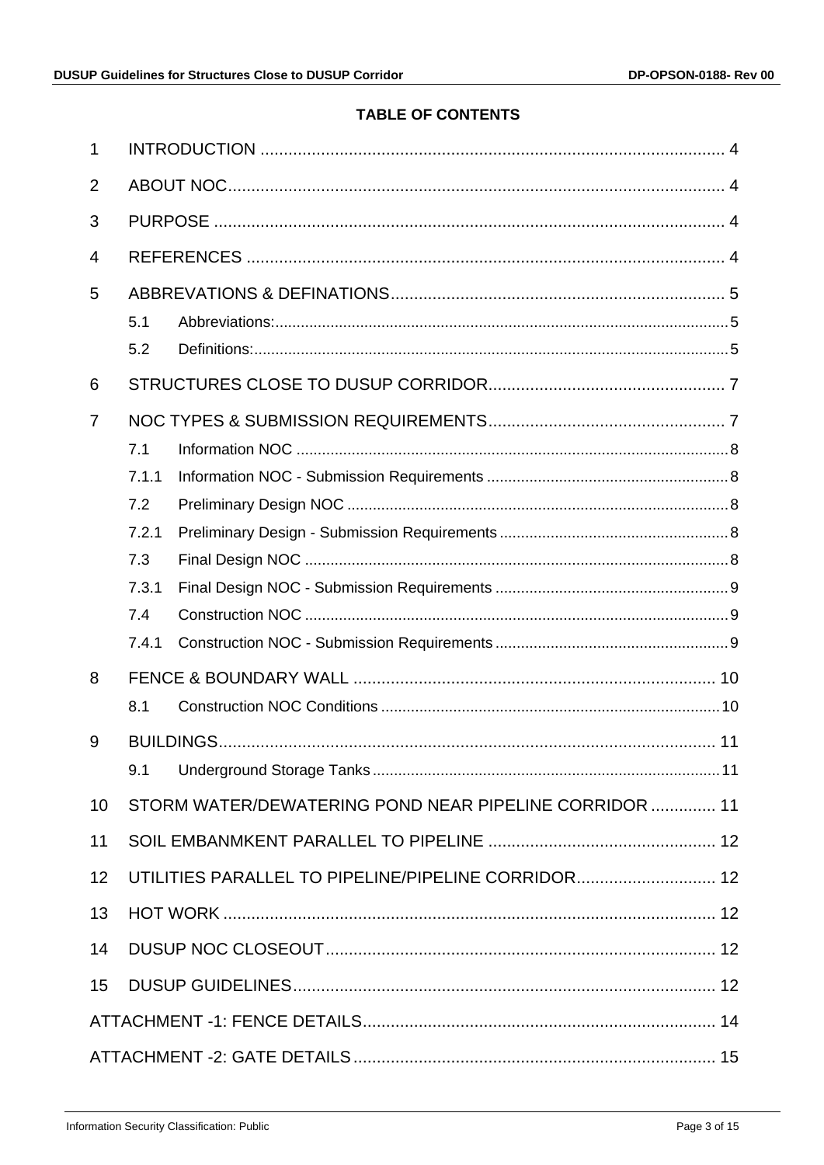# **TABLE OF CONTENTS**

| 1              |                                                     |                                                        |  |  |
|----------------|-----------------------------------------------------|--------------------------------------------------------|--|--|
| 2              |                                                     |                                                        |  |  |
| 3              |                                                     |                                                        |  |  |
| $\overline{4}$ |                                                     |                                                        |  |  |
| 5              |                                                     |                                                        |  |  |
|                | 5.1                                                 |                                                        |  |  |
|                | 5.2                                                 |                                                        |  |  |
| 6              |                                                     |                                                        |  |  |
| 7              |                                                     |                                                        |  |  |
|                | 7.1                                                 |                                                        |  |  |
|                | 7.1.1                                               |                                                        |  |  |
|                | 7.2                                                 |                                                        |  |  |
|                | 7.2.1                                               |                                                        |  |  |
|                | 7.3                                                 |                                                        |  |  |
|                | 7.3.1                                               |                                                        |  |  |
|                | 7.4                                                 |                                                        |  |  |
|                | 7.4.1                                               |                                                        |  |  |
| 8              |                                                     |                                                        |  |  |
|                | 8.1                                                 |                                                        |  |  |
| 9              |                                                     |                                                        |  |  |
|                | 9.1                                                 |                                                        |  |  |
| 10             |                                                     | STORM WATER/DEWATERING POND NEAR PIPELINE CORRIDOR  11 |  |  |
| 11             |                                                     |                                                        |  |  |
| 12             | UTILITIES PARALLEL TO PIPELINE/PIPELINE CORRIDOR 12 |                                                        |  |  |
| 13             |                                                     |                                                        |  |  |
| 14             |                                                     |                                                        |  |  |
| 15             |                                                     |                                                        |  |  |
|                |                                                     |                                                        |  |  |
|                |                                                     |                                                        |  |  |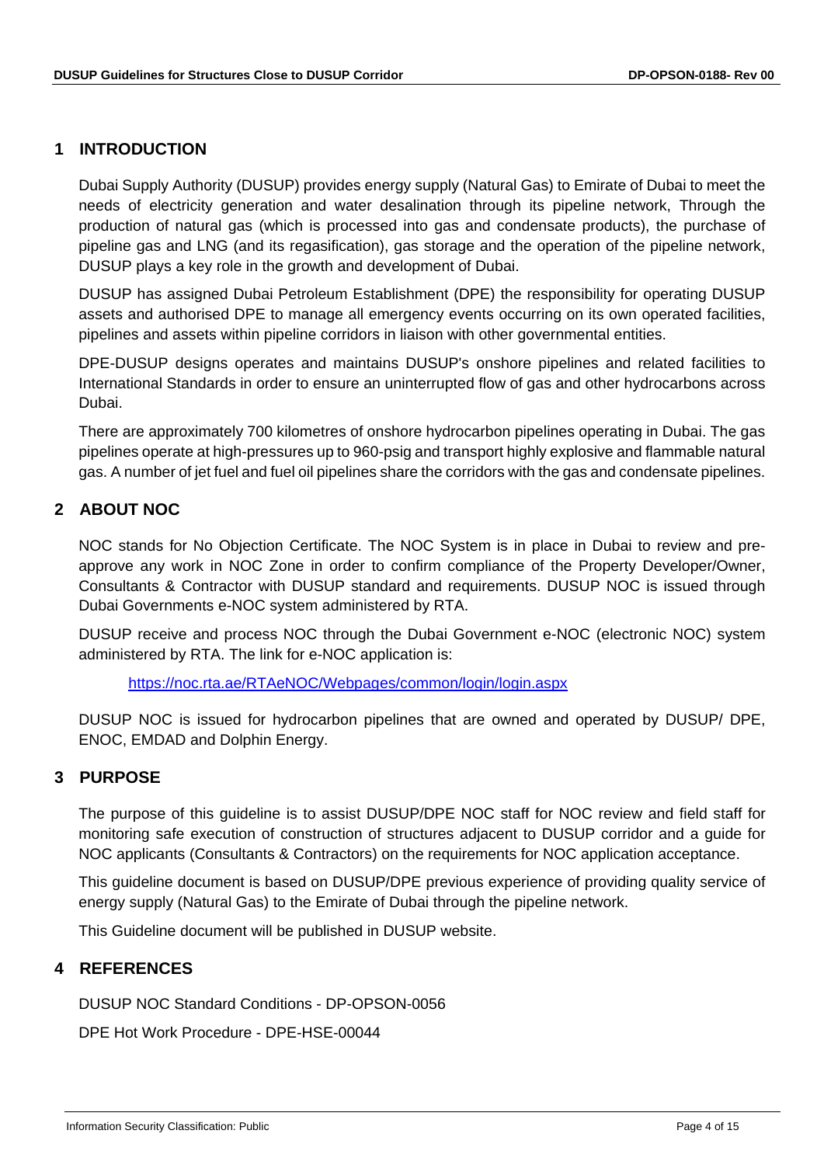### <span id="page-3-0"></span>**1 INTRODUCTION**

Dubai Supply Authority (DUSUP) provides energy supply (Natural Gas) to Emirate of Dubai to meet the needs of electricity generation and water desalination through its pipeline network, Through the production of natural gas (which is processed into gas and condensate products), the purchase of pipeline gas and LNG (and its regasification), gas storage and the operation of the pipeline network, DUSUP plays a key role in the growth and development of Dubai.

DUSUP has assigned Dubai Petroleum Establishment (DPE) the responsibility for operating DUSUP assets and authorised DPE to manage all emergency events occurring on its own operated facilities, pipelines and assets within pipeline corridors in liaison with other governmental entities.

DPE-DUSUP designs operates and maintains DUSUP's onshore pipelines and related facilities to International Standards in order to ensure an uninterrupted flow of gas and other hydrocarbons across Dubai.

There are approximately 700 kilometres of onshore hydrocarbon pipelines operating in Dubai. The gas pipelines operate at high-pressures up to 960-psig and transport highly explosive and flammable natural gas. A number of jet fuel and fuel oil pipelines share the corridors with the gas and condensate pipelines.

# <span id="page-3-1"></span>**2 ABOUT NOC**

NOC stands for No Objection Certificate. The NOC System is in place in Dubai to review and preapprove any work in NOC Zone in order to confirm compliance of the Property Developer/Owner, Consultants & Contractor with DUSUP standard and requirements. DUSUP NOC is issued through Dubai Governments e-NOC system administered by RTA.

DUSUP receive and process NOC through the Dubai Government e-NOC (electronic NOC) system administered by RTA. The link for e-NOC application is:

<https://noc.rta.ae/RTAeNOC/Webpages/common/login/login.aspx>

DUSUP NOC is issued for hydrocarbon pipelines that are owned and operated by DUSUP/ DPE, ENOC, EMDAD and Dolphin Energy.

# <span id="page-3-2"></span>**3 PURPOSE**

The purpose of this guideline is to assist DUSUP/DPE NOC staff for NOC review and field staff for monitoring safe execution of construction of structures adjacent to DUSUP corridor and a guide for NOC applicants (Consultants & Contractors) on the requirements for NOC application acceptance.

This guideline document is based on DUSUP/DPE previous experience of providing quality service of energy supply (Natural Gas) to the Emirate of Dubai through the pipeline network.

This Guideline document will be published in DUSUP website.

# <span id="page-3-3"></span>**4 REFERENCES**

DUSUP NOC Standard Conditions - DP-OPSON-0056

DPE Hot Work Procedure - DPE-HSE-00044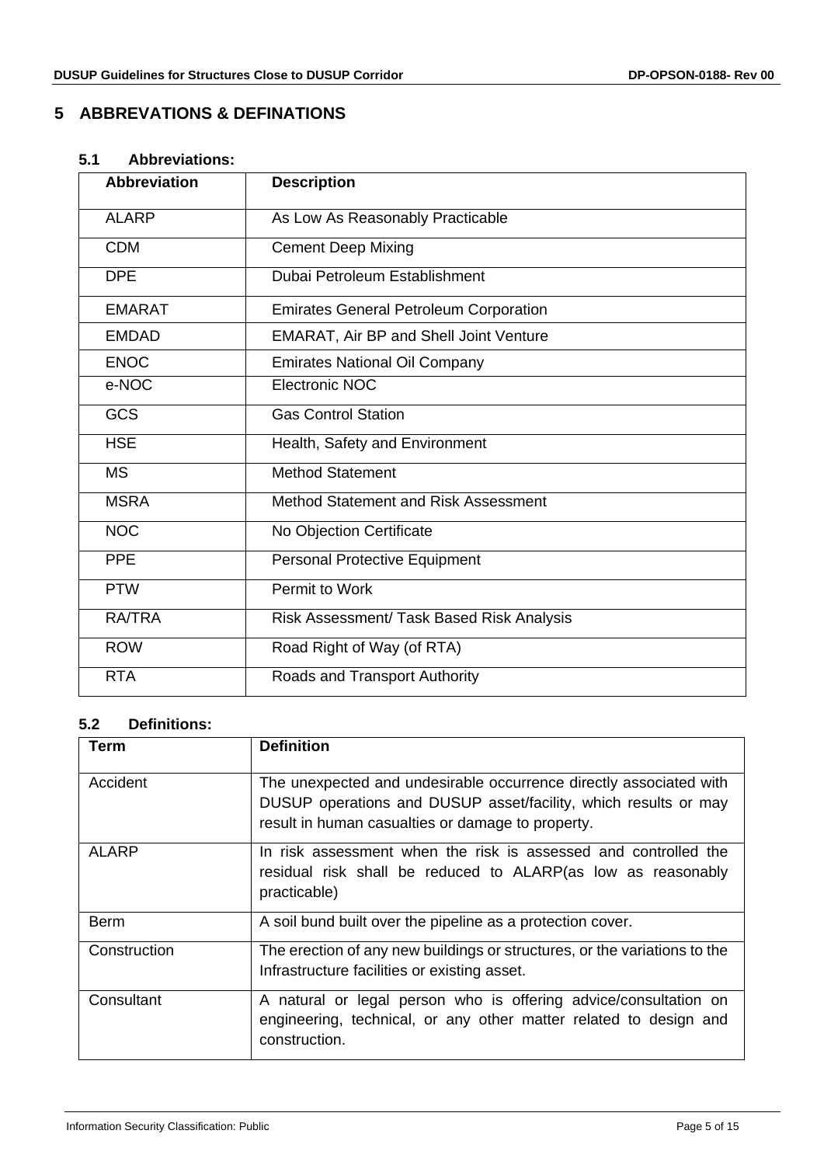# <span id="page-4-0"></span>**5 ABBREVATIONS & DEFINATIONS**

# **Abbreviation Description** ALARP As Low As Reasonably Practicable CDM Cement Deep Mixing DPE Dubai Petroleum Establishment EMARAT Emirates General Petroleum Corporation EMDAD EMARAT, Air BP and Shell Joint Venture ENOC Emirates National Oil Company e-NOC Electronic NOC GCS Gas Control Station HSE Health, Safety and Environment MS Method Statement MSRA Method Statement and Risk Assessment NOC No Objection Certificate PPE Personal Protective Equipment PTW Permit to Work RA/TRA Risk Assessment/ Task Based Risk Analysis ROW Road Right of Way (of RTA) RTA Roads and Transport Authority

#### <span id="page-4-1"></span>**5.1 Abbreviations:**

#### <span id="page-4-2"></span>**5.2 Definitions:**

| Term         | <b>Definition</b>                                                                                                                                                                          |
|--------------|--------------------------------------------------------------------------------------------------------------------------------------------------------------------------------------------|
| Accident     | The unexpected and undesirable occurrence directly associated with<br>DUSUP operations and DUSUP asset/facility, which results or may<br>result in human casualties or damage to property. |
| <b>ALARP</b> | In risk assessment when the risk is assessed and controlled the<br>residual risk shall be reduced to ALARP (as low as reasonably<br>practicable)                                           |
| <b>Berm</b>  | A soil bund built over the pipeline as a protection cover.                                                                                                                                 |
| Construction | The erection of any new buildings or structures, or the variations to the<br>Infrastructure facilities or existing asset.                                                                  |
| Consultant   | A natural or legal person who is offering advice/consultation on<br>engineering, technical, or any other matter related to design and<br>construction.                                     |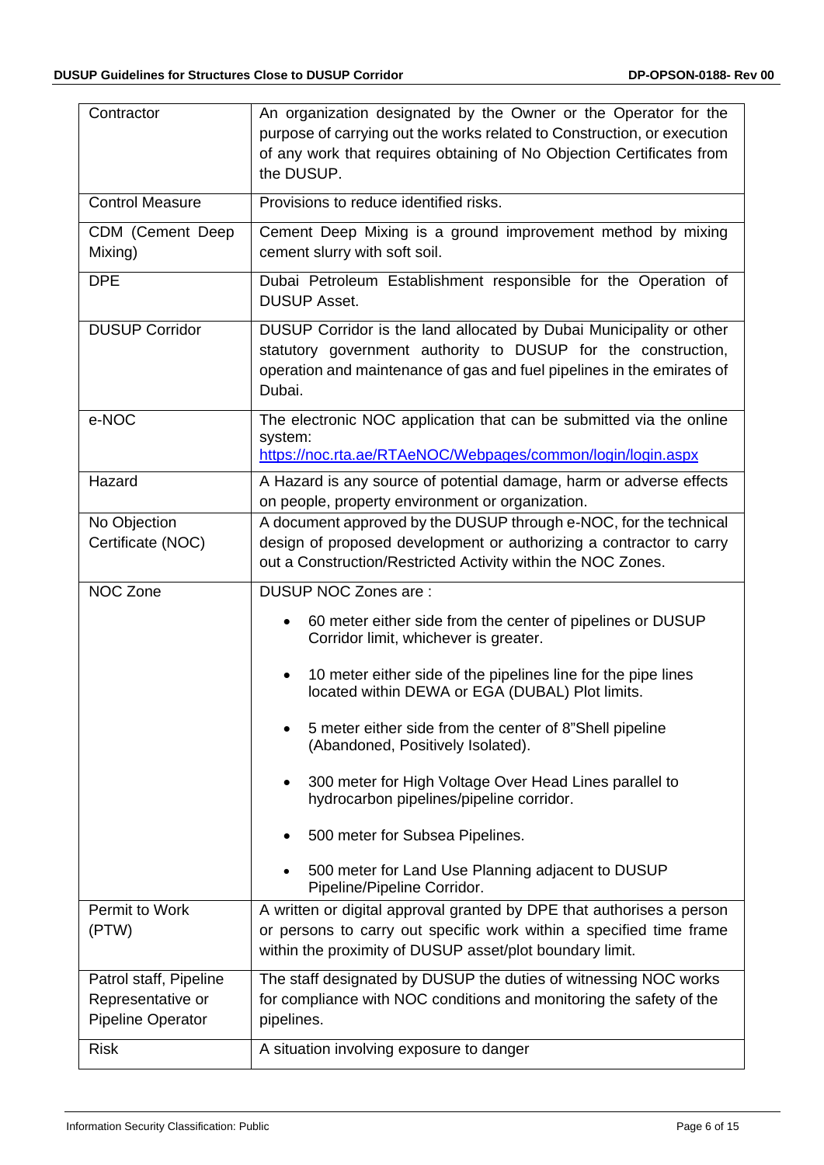| Contractor                                                       | An organization designated by the Owner or the Operator for the<br>purpose of carrying out the works related to Construction, or execution<br>of any work that requires obtaining of No Objection Certificates from<br>the DUSUP. |
|------------------------------------------------------------------|-----------------------------------------------------------------------------------------------------------------------------------------------------------------------------------------------------------------------------------|
| <b>Control Measure</b>                                           | Provisions to reduce identified risks.                                                                                                                                                                                            |
| CDM (Cement Deep<br>Mixing)                                      | Cement Deep Mixing is a ground improvement method by mixing<br>cement slurry with soft soil.                                                                                                                                      |
| <b>DPE</b>                                                       | Dubai Petroleum Establishment responsible for the Operation of<br><b>DUSUP Asset.</b>                                                                                                                                             |
| <b>DUSUP Corridor</b>                                            | DUSUP Corridor is the land allocated by Dubai Municipality or other<br>statutory government authority to DUSUP for the construction,<br>operation and maintenance of gas and fuel pipelines in the emirates of<br>Dubai.          |
| e-NOC                                                            | The electronic NOC application that can be submitted via the online<br>system:<br>https://noc.rta.ae/RTAeNOC/Webpages/common/login/login.aspx                                                                                     |
| Hazard                                                           | A Hazard is any source of potential damage, harm or adverse effects<br>on people, property environment or organization.                                                                                                           |
| No Objection<br>Certificate (NOC)                                | A document approved by the DUSUP through e-NOC, for the technical<br>design of proposed development or authorizing a contractor to carry<br>out a Construction/Restricted Activity within the NOC Zones.                          |
| NOC Zone                                                         | DUSUP NOC Zones are:                                                                                                                                                                                                              |
|                                                                  | 60 meter either side from the center of pipelines or DUSUP<br>Corridor limit, whichever is greater.                                                                                                                               |
|                                                                  | 10 meter either side of the pipelines line for the pipe lines<br>$\bullet$<br>located within DEWA or EGA (DUBAL) Plot limits.                                                                                                     |
|                                                                  | 5 meter either side from the center of 8"Shell pipeline<br>(Abandoned, Positively Isolated).                                                                                                                                      |
|                                                                  | 300 meter for High Voltage Over Head Lines parallel to<br>hydrocarbon pipelines/pipeline corridor.                                                                                                                                |
|                                                                  | 500 meter for Subsea Pipelines.                                                                                                                                                                                                   |
|                                                                  | 500 meter for Land Use Planning adjacent to DUSUP<br>Pipeline/Pipeline Corridor.                                                                                                                                                  |
| Permit to Work<br>(PTW)                                          | A written or digital approval granted by DPE that authorises a person<br>or persons to carry out specific work within a specified time frame<br>within the proximity of DUSUP asset/plot boundary limit.                          |
| Patrol staff, Pipeline<br>Representative or<br>Pipeline Operator | The staff designated by DUSUP the duties of witnessing NOC works<br>for compliance with NOC conditions and monitoring the safety of the<br>pipelines.                                                                             |
| <b>Risk</b>                                                      | A situation involving exposure to danger                                                                                                                                                                                          |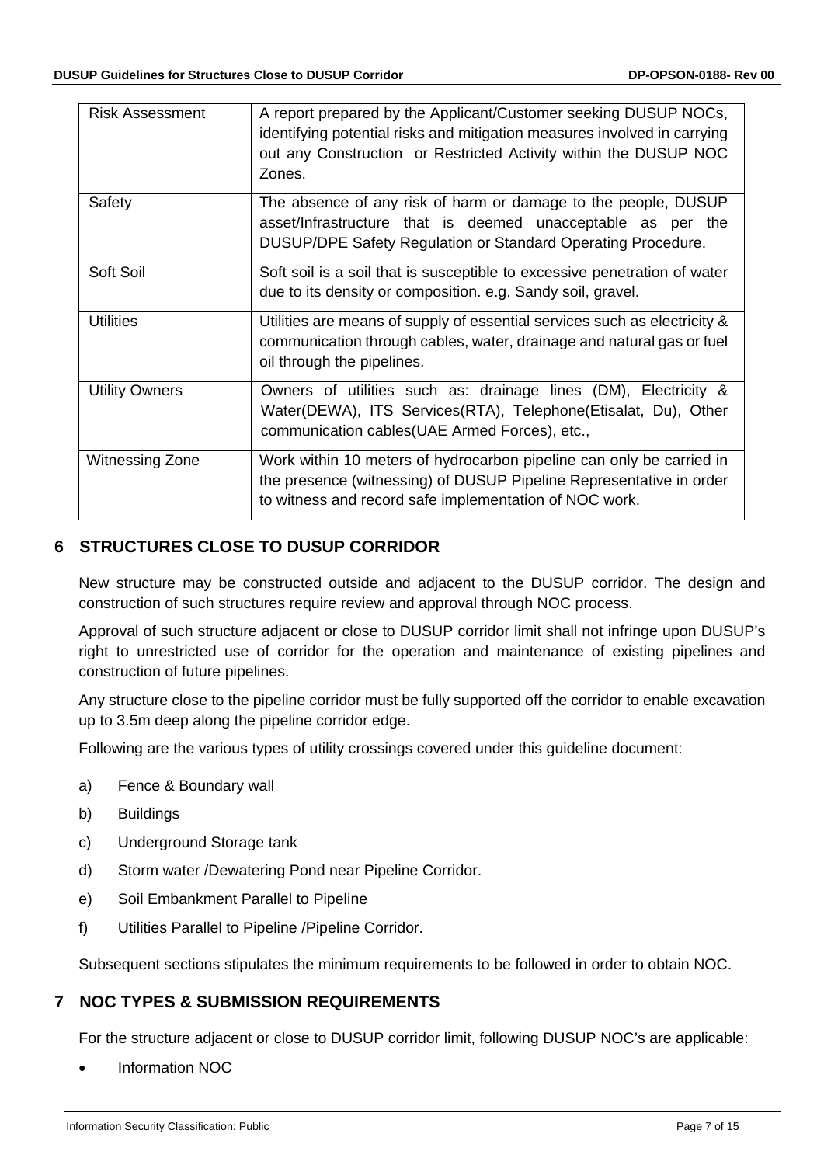| <b>Risk Assessment</b> | A report prepared by the Applicant/Customer seeking DUSUP NOCs,<br>identifying potential risks and mitigation measures involved in carrying<br>out any Construction or Restricted Activity within the DUSUP NOC<br>Zones. |
|------------------------|---------------------------------------------------------------------------------------------------------------------------------------------------------------------------------------------------------------------------|
| Safety                 | The absence of any risk of harm or damage to the people, DUSUP<br>asset/Infrastructure that is deemed unacceptable as per the<br>DUSUP/DPE Safety Regulation or Standard Operating Procedure.                             |
| Soft Soil              | Soft soil is a soil that is susceptible to excessive penetration of water<br>due to its density or composition. e.g. Sandy soil, gravel.                                                                                  |
| <b>Utilities</b>       | Utilities are means of supply of essential services such as electricity &<br>communication through cables, water, drainage and natural gas or fuel<br>oil through the pipelines.                                          |
| <b>Utility Owners</b>  | Owners of utilities such as: drainage lines (DM), Electricity &<br>Water(DEWA), ITS Services(RTA), Telephone(Etisalat, Du), Other<br>communication cables(UAE Armed Forces), etc.,                                        |
| <b>Witnessing Zone</b> | Work within 10 meters of hydrocarbon pipeline can only be carried in<br>the presence (witnessing) of DUSUP Pipeline Representative in order<br>to witness and record safe implementation of NOC work.                     |

# <span id="page-6-0"></span>**6 STRUCTURES CLOSE TO DUSUP CORRIDOR**

New structure may be constructed outside and adjacent to the DUSUP corridor. The design and construction of such structures require review and approval through NOC process.

Approval of such structure adjacent or close to DUSUP corridor limit shall not infringe upon DUSUP's right to unrestricted use of corridor for the operation and maintenance of existing pipelines and construction of future pipelines.

Any structure close to the pipeline corridor must be fully supported off the corridor to enable excavation up to 3.5m deep along the pipeline corridor edge.

Following are the various types of utility crossings covered under this guideline document:

- a) Fence & Boundary wall
- b) Buildings
- c) Underground Storage tank
- d) Storm water /Dewatering Pond near Pipeline Corridor.
- e) Soil Embankment Parallel to Pipeline
- f) Utilities Parallel to Pipeline /Pipeline Corridor.

Subsequent sections stipulates the minimum requirements to be followed in order to obtain NOC.

# <span id="page-6-1"></span>**7 NOC TYPES & SUBMISSION REQUIREMENTS**

For the structure adjacent or close to DUSUP corridor limit, following DUSUP NOC's are applicable:

• Information NOC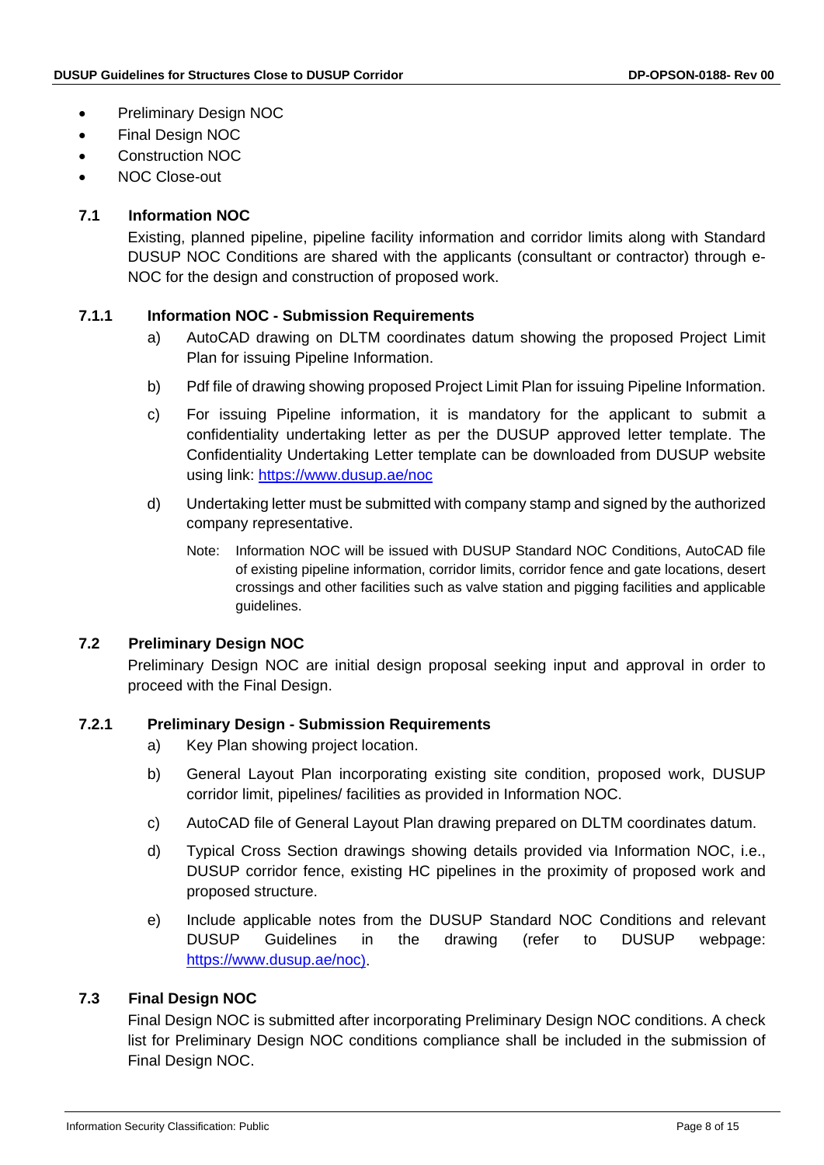- Preliminary Design NOC
- Final Design NOC
- Construction NOC
- NOC Close-out

#### <span id="page-7-0"></span>**7.1 Information NOC**

Existing, planned pipeline, pipeline facility information and corridor limits along with Standard DUSUP NOC Conditions are shared with the applicants (consultant or contractor) through e-NOC for the design and construction of proposed work.

#### <span id="page-7-1"></span>**7.1.1 Information NOC - Submission Requirements**

- a) AutoCAD drawing on DLTM coordinates datum showing the proposed Project Limit Plan for issuing Pipeline Information.
- b) Pdf file of drawing showing proposed Project Limit Plan for issuing Pipeline Information.
- c) For issuing Pipeline information, it is mandatory for the applicant to submit a confidentiality undertaking letter as per the DUSUP approved letter template. The Confidentiality Undertaking Letter template can be downloaded from DUSUP website using link: <https://www.dusup.ae/noc>
- d) Undertaking letter must be submitted with company stamp and signed by the authorized company representative.
	- Note: Information NOC will be issued with DUSUP Standard NOC Conditions, AutoCAD file of existing pipeline information, corridor limits, corridor fence and gate locations, desert crossings and other facilities such as valve station and pigging facilities and applicable guidelines.

#### <span id="page-7-2"></span>**7.2 Preliminary Design NOC**

Preliminary Design NOC are initial design proposal seeking input and approval in order to proceed with the Final Design.

#### <span id="page-7-3"></span>**7.2.1 Preliminary Design - Submission Requirements**

- a) Key Plan showing project location.
- b) General Layout Plan incorporating existing site condition, proposed work, DUSUP corridor limit, pipelines/ facilities as provided in Information NOC.
- c) AutoCAD file of General Layout Plan drawing prepared on DLTM coordinates datum.
- d) Typical Cross Section drawings showing details provided via Information NOC, i.e., DUSUP corridor fence, existing HC pipelines in the proximity of proposed work and proposed structure.
- e) Include applicable notes from the DUSUP Standard NOC Conditions and relevant DUSUP Guidelines in the drawing (refer to DUSUP webpage: [https://www.dusup.ae/noc\)](https://www.dusup.ae/noc).

#### <span id="page-7-4"></span>**7.3 Final Design NOC**

Final Design NOC is submitted after incorporating Preliminary Design NOC conditions. A check list for Preliminary Design NOC conditions compliance shall be included in the submission of Final Design NOC.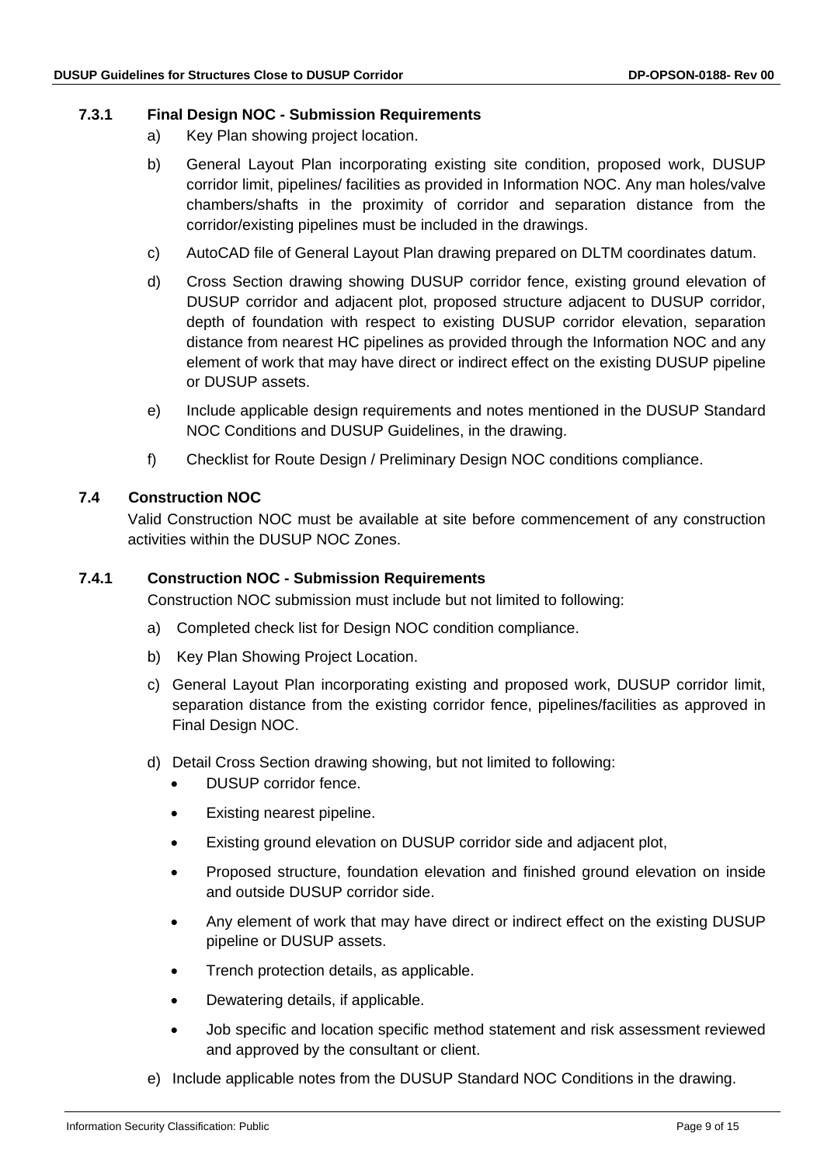#### <span id="page-8-0"></span>**7.3.1 Final Design NOC - Submission Requirements**

- a) Key Plan showing project location.
- b) General Layout Plan incorporating existing site condition, proposed work, DUSUP corridor limit, pipelines/ facilities as provided in Information NOC. Any man holes/valve chambers/shafts in the proximity of corridor and separation distance from the corridor/existing pipelines must be included in the drawings.
- c) AutoCAD file of General Layout Plan drawing prepared on DLTM coordinates datum.
- d) Cross Section drawing showing DUSUP corridor fence, existing ground elevation of DUSUP corridor and adjacent plot, proposed structure adjacent to DUSUP corridor, depth of foundation with respect to existing DUSUP corridor elevation, separation distance from nearest HC pipelines as provided through the Information NOC and any element of work that may have direct or indirect effect on the existing DUSUP pipeline or DUSUP assets.
- e) Include applicable design requirements and notes mentioned in the DUSUP Standard NOC Conditions and DUSUP Guidelines, in the drawing.
- f) Checklist for Route Design / Preliminary Design NOC conditions compliance.

#### <span id="page-8-1"></span>**7.4 Construction NOC**

Valid Construction NOC must be available at site before commencement of any construction activities within the DUSUP NOC Zones.

#### <span id="page-8-2"></span>**7.4.1 Construction NOC - Submission Requirements**

Construction NOC submission must include but not limited to following:

- a) Completed check list for Design NOC condition compliance.
- b) Key Plan Showing Project Location.
- c) General Layout Plan incorporating existing and proposed work, DUSUP corridor limit, separation distance from the existing corridor fence, pipelines/facilities as approved in Final Design NOC.
- d) Detail Cross Section drawing showing, but not limited to following:
	- DUSUP corridor fence.
	- Existing nearest pipeline.
	- Existing ground elevation on DUSUP corridor side and adjacent plot,
	- Proposed structure, foundation elevation and finished ground elevation on inside and outside DUSUP corridor side.
	- Any element of work that may have direct or indirect effect on the existing DUSUP pipeline or DUSUP assets.
	- Trench protection details, as applicable.
	- Dewatering details, if applicable.
	- Job specific and location specific method statement and risk assessment reviewed and approved by the consultant or client.
- e) Include applicable notes from the DUSUP Standard NOC Conditions in the drawing.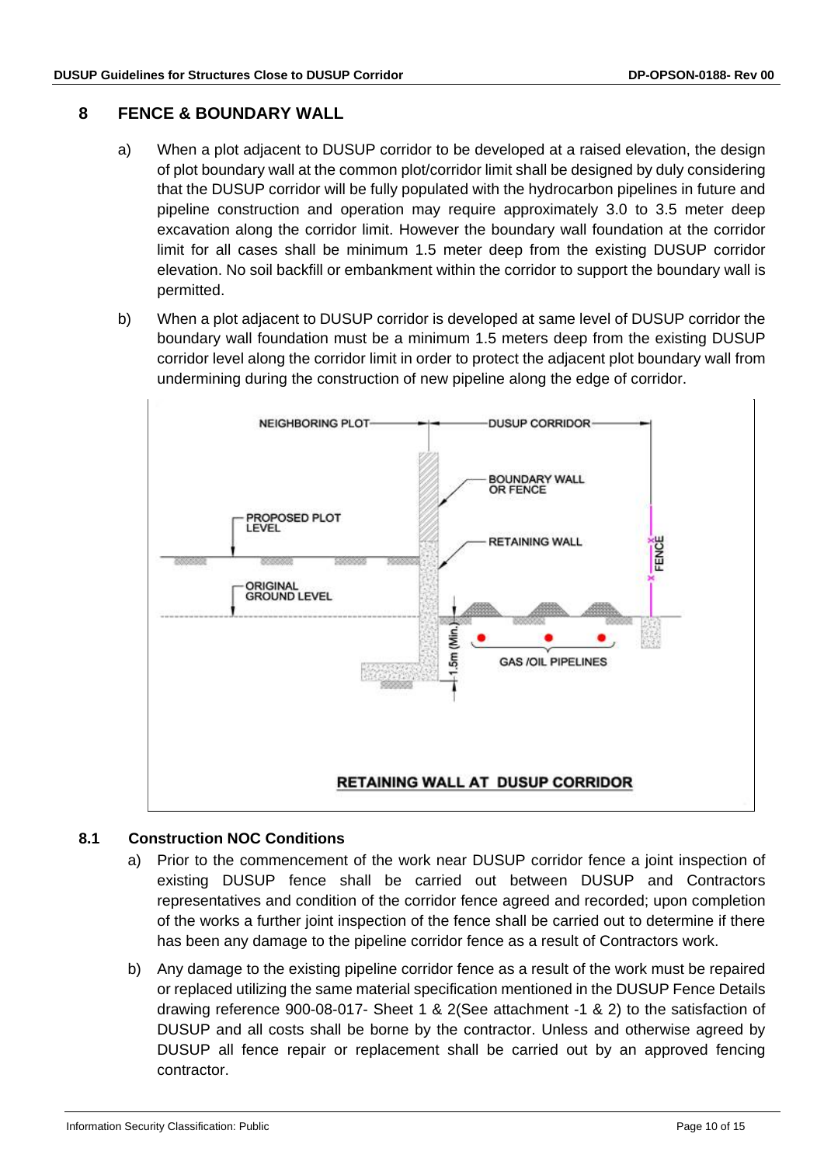### <span id="page-9-0"></span>**8 FENCE & BOUNDARY WALL**

- a) When a plot adjacent to DUSUP corridor to be developed at a raised elevation, the design of plot boundary wall at the common plot/corridor limit shall be designed by duly considering that the DUSUP corridor will be fully populated with the hydrocarbon pipelines in future and pipeline construction and operation may require approximately 3.0 to 3.5 meter deep excavation along the corridor limit. However the boundary wall foundation at the corridor limit for all cases shall be minimum 1.5 meter deep from the existing DUSUP corridor elevation. No soil backfill or embankment within the corridor to support the boundary wall is permitted.
- b) When a plot adjacent to DUSUP corridor is developed at same level of DUSUP corridor the boundary wall foundation must be a minimum 1.5 meters deep from the existing DUSUP corridor level along the corridor limit in order to protect the adjacent plot boundary wall from undermining during the construction of new pipeline along the edge of corridor.



#### **RETAINING WALL AT DUSUP CORRIDOR**

#### <span id="page-9-1"></span>**8.1 Construction NOC Conditions**

- a) Prior to the commencement of the work near DUSUP corridor fence a joint inspection of existing DUSUP fence shall be carried out between DUSUP and Contractors representatives and condition of the corridor fence agreed and recorded; upon completion of the works a further joint inspection of the fence shall be carried out to determine if there has been any damage to the pipeline corridor fence as a result of Contractors work.
- b) Any damage to the existing pipeline corridor fence as a result of the work must be repaired or replaced utilizing the same material specification mentioned in the DUSUP Fence Details drawing reference 900-08-017- Sheet 1 & 2(See attachment -1 & 2) to the satisfaction of DUSUP and all costs shall be borne by the contractor. Unless and otherwise agreed by DUSUP all fence repair or replacement shall be carried out by an approved fencing contractor.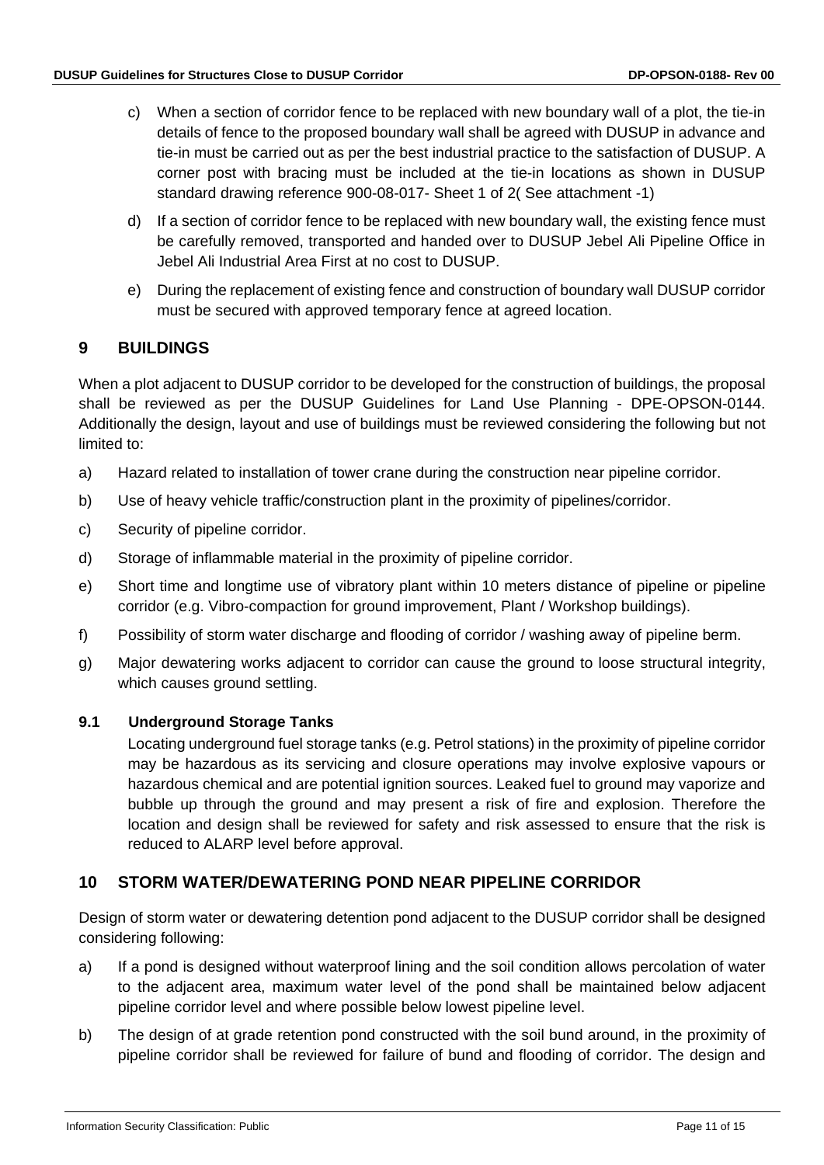- c) When a section of corridor fence to be replaced with new boundary wall of a plot, the tie-in details of fence to the proposed boundary wall shall be agreed with DUSUP in advance and tie-in must be carried out as per the best industrial practice to the satisfaction of DUSUP. A corner post with bracing must be included at the tie-in locations as shown in DUSUP standard drawing reference 900-08-017- Sheet 1 of 2( See attachment -1)
- d) If a section of corridor fence to be replaced with new boundary wall, the existing fence must be carefully removed, transported and handed over to DUSUP Jebel Ali Pipeline Office in Jebel Ali Industrial Area First at no cost to DUSUP.
- e) During the replacement of existing fence and construction of boundary wall DUSUP corridor must be secured with approved temporary fence at agreed location.

# <span id="page-10-0"></span>**9 BUILDINGS**

When a plot adjacent to DUSUP corridor to be developed for the construction of buildings, the proposal shall be reviewed as per the DUSUP Guidelines for Land Use Planning - DPE-OPSON-0144. Additionally the design, layout and use of buildings must be reviewed considering the following but not limited to:

- a) Hazard related to installation of tower crane during the construction near pipeline corridor.
- b) Use of heavy vehicle traffic/construction plant in the proximity of pipelines/corridor.
- c) Security of pipeline corridor.
- d) Storage of inflammable material in the proximity of pipeline corridor.
- e) Short time and longtime use of vibratory plant within 10 meters distance of pipeline or pipeline corridor (e.g. Vibro-compaction for ground improvement, Plant / Workshop buildings).
- f) Possibility of storm water discharge and flooding of corridor / washing away of pipeline berm.
- g) Major dewatering works adjacent to corridor can cause the ground to loose structural integrity, which causes ground settling.

#### <span id="page-10-1"></span>**9.1 Underground Storage Tanks**

Locating underground fuel storage tanks (e.g. Petrol stations) in the proximity of pipeline corridor may be hazardous as its servicing and closure operations may involve explosive vapours or hazardous chemical and are potential ignition sources. Leaked fuel to ground may vaporize and bubble up through the ground and may present a risk of fire and explosion. Therefore the location and design shall be reviewed for safety and risk assessed to ensure that the risk is reduced to ALARP level before approval.

#### <span id="page-10-2"></span>**10 STORM WATER/DEWATERING POND NEAR PIPELINE CORRIDOR**

Design of storm water or dewatering detention pond adjacent to the DUSUP corridor shall be designed considering following:

- a) If a pond is designed without waterproof lining and the soil condition allows percolation of water to the adjacent area, maximum water level of the pond shall be maintained below adjacent pipeline corridor level and where possible below lowest pipeline level.
- b) The design of at grade retention pond constructed with the soil bund around, in the proximity of pipeline corridor shall be reviewed for failure of bund and flooding of corridor. The design and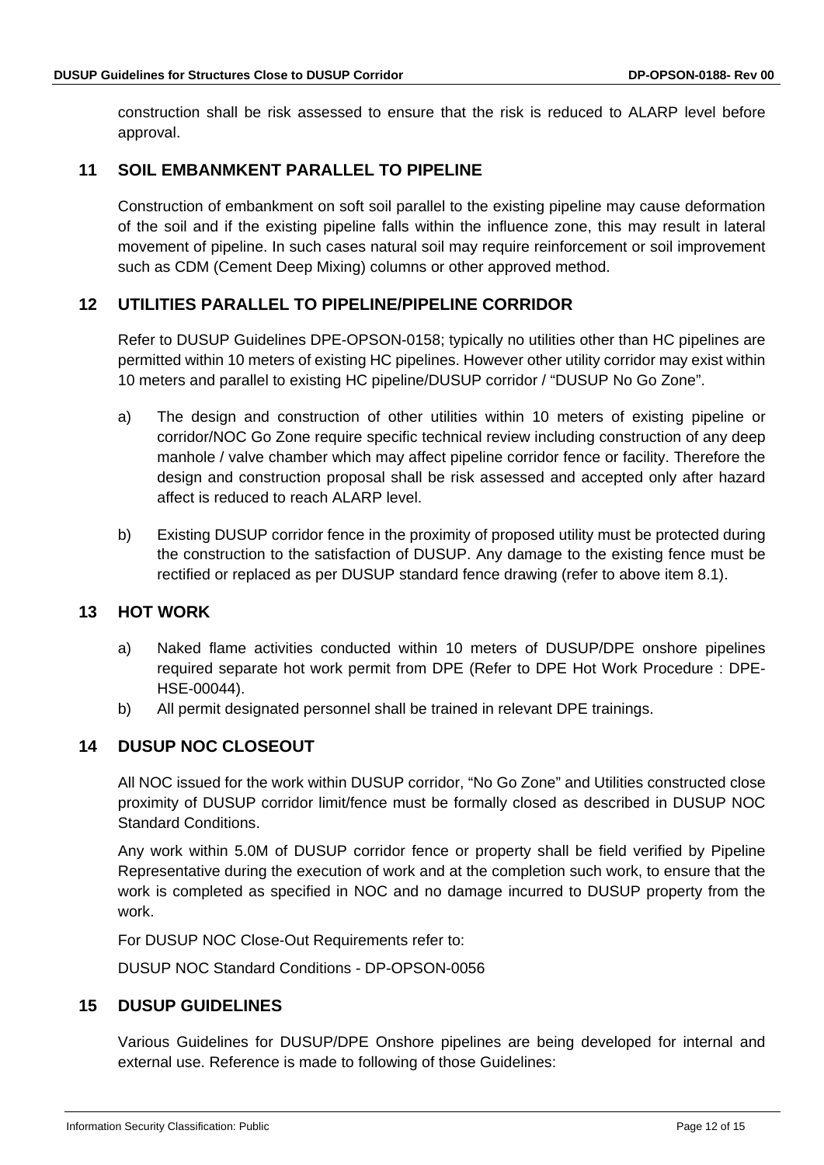construction shall be risk assessed to ensure that the risk is reduced to ALARP level before approval.

# <span id="page-11-0"></span>**11 SOIL EMBANMKENT PARALLEL TO PIPELINE**

Construction of embankment on soft soil parallel to the existing pipeline may cause deformation of the soil and if the existing pipeline falls within the influence zone, this may result in lateral movement of pipeline. In such cases natural soil may require reinforcement or soil improvement such as CDM (Cement Deep Mixing) columns or other approved method.

# <span id="page-11-1"></span>**12 UTILITIES PARALLEL TO PIPELINE/PIPELINE CORRIDOR**

Refer to DUSUP Guidelines DPE-OPSON-0158; typically no utilities other than HC pipelines are permitted within 10 meters of existing HC pipelines. However other utility corridor may exist within 10 meters and parallel to existing HC pipeline/DUSUP corridor / "DUSUP No Go Zone".

- a) The design and construction of other utilities within 10 meters of existing pipeline or corridor/NOC Go Zone require specific technical review including construction of any deep manhole / valve chamber which may affect pipeline corridor fence or facility. Therefore the design and construction proposal shall be risk assessed and accepted only after hazard affect is reduced to reach ALARP level.
- b) Existing DUSUP corridor fence in the proximity of proposed utility must be protected during the construction to the satisfaction of DUSUP. Any damage to the existing fence must be rectified or replaced as per DUSUP standard fence drawing (refer to above item 8.1).

# <span id="page-11-2"></span>**13 HOT WORK**

- a) Naked flame activities conducted within 10 meters of DUSUP/DPE onshore pipelines required separate hot work permit from DPE (Refer to DPE Hot Work Procedure : DPE-HSE-00044).
- b) All permit designated personnel shall be trained in relevant DPE trainings.

# <span id="page-11-3"></span>**14 DUSUP NOC CLOSEOUT**

All NOC issued for the work within DUSUP corridor, "No Go Zone" and Utilities constructed close proximity of DUSUP corridor limit/fence must be formally closed as described in DUSUP NOC Standard Conditions.

Any work within 5.0M of DUSUP corridor fence or property shall be field verified by Pipeline Representative during the execution of work and at the completion such work, to ensure that the work is completed as specified in NOC and no damage incurred to DUSUP property from the work.

For DUSUP NOC Close-Out Requirements refer to:

DUSUP NOC Standard Conditions - DP-OPSON-0056

# <span id="page-11-4"></span>**15 DUSUP GUIDELINES**

Various Guidelines for DUSUP/DPE Onshore pipelines are being developed for internal and external use. Reference is made to following of those Guidelines: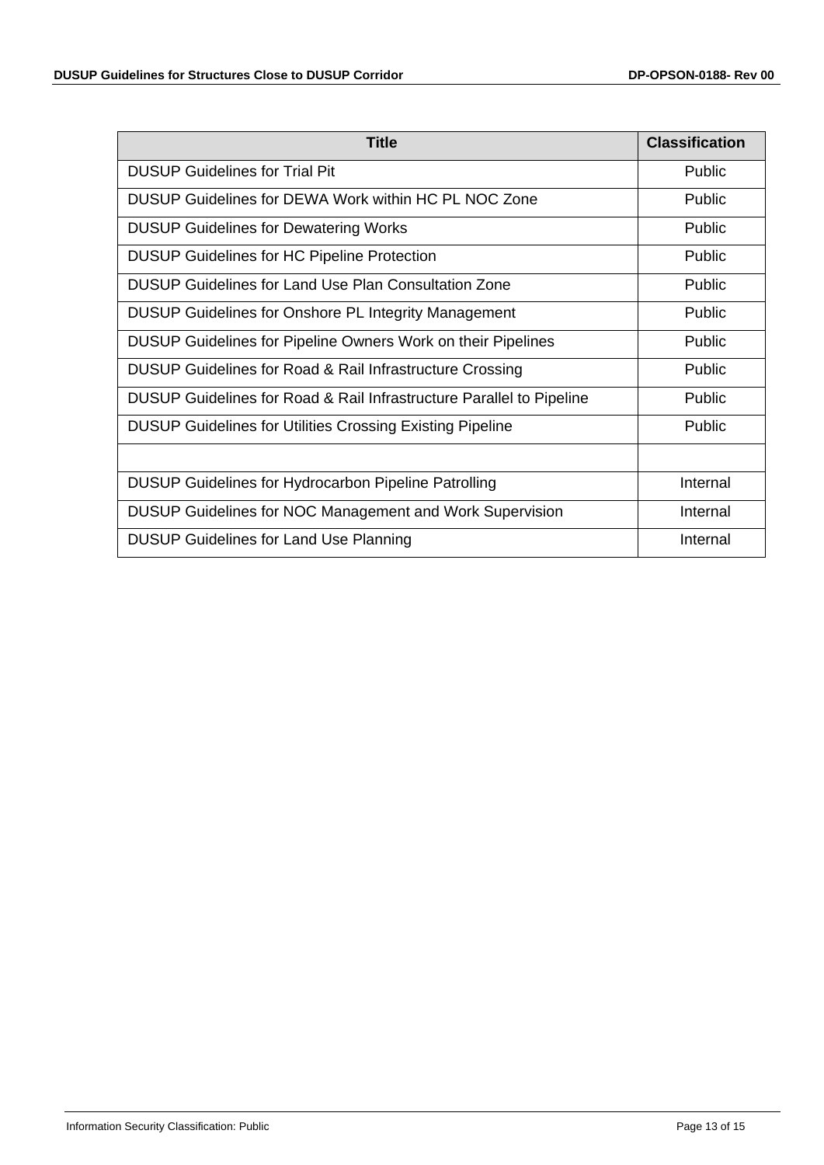| <b>Title</b>                                                         | <b>Classification</b> |
|----------------------------------------------------------------------|-----------------------|
| <b>DUSUP Guidelines for Trial Pit</b>                                | <b>Public</b>         |
| DUSUP Guidelines for DEWA Work within HC PL NOC Zone                 | Public                |
| <b>DUSUP Guidelines for Dewatering Works</b>                         | Public                |
| <b>DUSUP Guidelines for HC Pipeline Protection</b>                   | Public                |
| <b>DUSUP Guidelines for Land Use Plan Consultation Zone</b>          | <b>Public</b>         |
| <b>DUSUP Guidelines for Onshore PL Integrity Management</b>          | <b>Public</b>         |
| DUSUP Guidelines for Pipeline Owners Work on their Pipelines         | Public                |
| DUSUP Guidelines for Road & Rail Infrastructure Crossing             | <b>Public</b>         |
| DUSUP Guidelines for Road & Rail Infrastructure Parallel to Pipeline | Public                |
| <b>DUSUP Guidelines for Utilities Crossing Existing Pipeline</b>     | Public                |
|                                                                      |                       |
| <b>DUSUP Guidelines for Hydrocarbon Pipeline Patrolling</b>          | Internal              |
| DUSUP Guidelines for NOC Management and Work Supervision             | Internal              |
| <b>DUSUP Guidelines for Land Use Planning</b>                        | Internal              |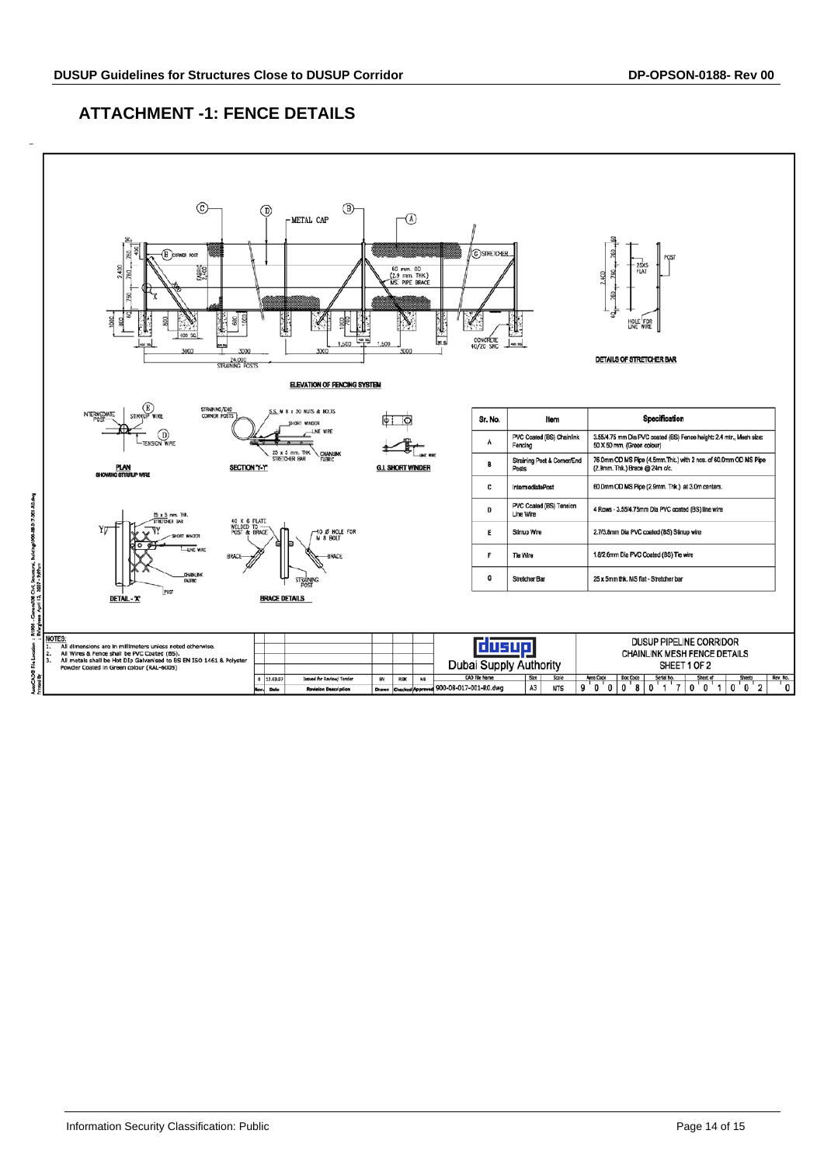# <span id="page-13-0"></span>**ATTACHMENT -1: FENCE DETAILS**